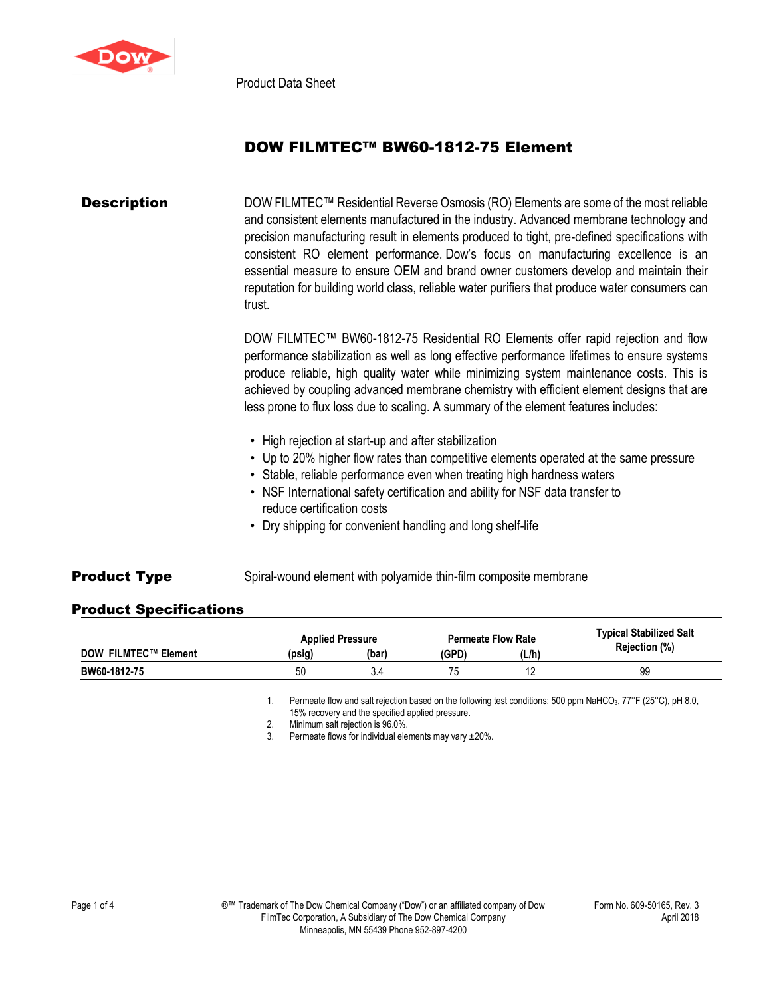

Product Data Sheet

# DOW FILMTEC™ BW60-1812-75 Element

### **Description** DOW FILMTEC<sup>™</sup> Residential Reverse Osmosis (RO) Elements are some of the most reliable and consistent elements manufactured in the industry. Advanced membrane technology and precision manufacturing result in elements produced to tight, pre-defined specifications with consistent RO element performance. Dow's focus on manufacturing excellence is an essential measure to ensure OEM and brand owner customers develop and maintain their reputation for building world class, reliable water purifiers that produce water consumers can trust.

DOW FILMTEC™ BW60-1812-75 Residential RO Elements offer rapid rejection and flow performance stabilization as well as long effective performance lifetimes to ensure systems produce reliable, high quality water while minimizing system maintenance costs. This is achieved by coupling advanced membrane chemistry with efficient element designs that are less prone to flux loss due to scaling. A summary of the element features includes:

- High rejection at start-up and after stabilization
- Up to 20% higher flow rates than competitive elements operated at the same pressure
- Stable, reliable performance even when treating high hardness waters
- NSF International safety certification and ability for NSF data transfer to reduce certification costs
- Dry shipping for convenient handling and long shelf-life
- **Product Type** Spiral-wound element with polyamide thin-film composite membrane

### Product Specifications

|                             | <b>Applied Pressure</b> |       | <b>Permeate Flow Rate</b> |       | <b>Typical Stabilized Salt</b> |
|-----------------------------|-------------------------|-------|---------------------------|-------|--------------------------------|
| <b>DOW FILMTEC™ Element</b> | (psig)                  | (bar) | (GPD)                     | (L/h) | Rejection (%)                  |
| BW60-1812-75                | 50                      |       |                           |       | 99                             |

1. Permeate flow and salt rejection based on the following test conditions: 500 ppm NaHCO<sub>3</sub>, 77°F (25°C), pH 8.0, 15% recovery and the specified applied pressure.

2. Minimum salt rejection is 96.0%.

3. Permeate flows for individual elements may vary ±20%.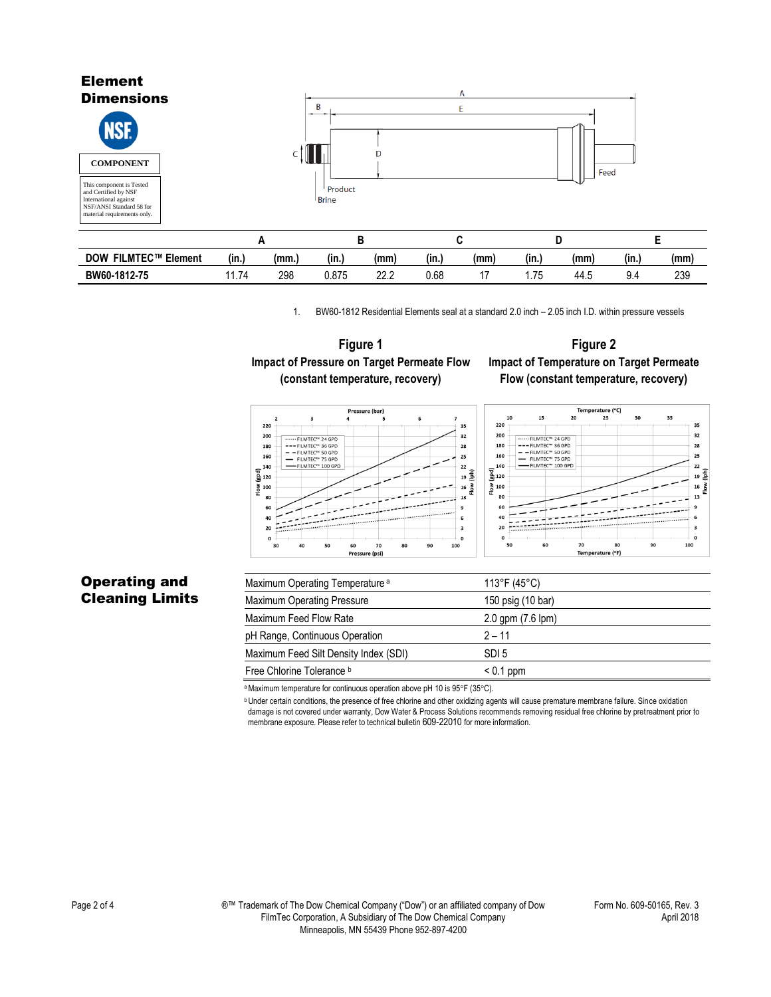#### Element **Dimensions**  $\overline{B}$ Ë **NSE** c†∥∎l D **COMPONENT**Feed This component is Tested and Certified by NSF Product **Brine** International against NSF/ANSI Standard 58 for material requirements only. **A B C D E DOW FILMTEC™ Element (in.) (mm.) (in.) (mm) (in.) (mm) (in.) (mm) (in.) (mm) BW60-1812-75** 11.74 298 0.875 22.2 0.68 17 1.75 44.5 9.4 239

1. BW60-1812 Residential Elements seal at a standard 2.0 inch – 2.05 inch I.D. within pressure vessels



## **Figure 2 Impact of Temperature on Target Permeate Flow (constant temperature, recovery)**





| <b>Operating and</b>   |  |
|------------------------|--|
| <b>Cleaning Limits</b> |  |

# Maximum Operating Temperature<sup>a</sup> 113°F (45°C) Maximum Operating Pressure 150 psig (10 bar) Maximum Feed Flow Rate 2.0 gpm (7.6 lpm) pH Range, Continuous Operation 2 – 11 Maximum Feed Silt Density Index (SDI) SDI 5

a Maximum temperature for continuous operation above pH 10 is 95°F (35°C).

Free Chlorine Tolerance **b**  $\leq 0.1$  ppm

**b** Under certain conditions, the presence of free chlorine and other oxidizing agents will cause premature membrane failure. Since oxidation damage is not covered under warranty, Dow Water & Process Solutions recommends removing residual free chlorine by pretreatment prior to membrane exposure. Please refer to technical bulletin 609-22010 for more information.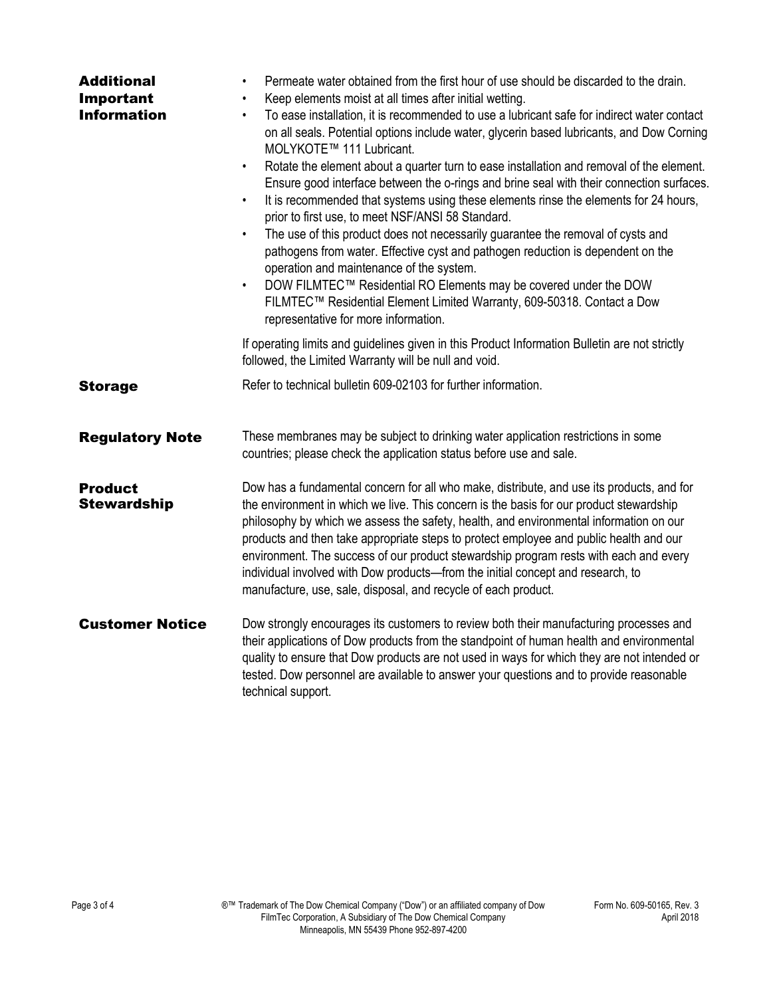| <b>Additional</b><br>Important<br><b>Information</b> | Permeate water obtained from the first hour of use should be discarded to the drain.<br>Keep elements moist at all times after initial wetting.<br>$\bullet$<br>To ease installation, it is recommended to use a lubricant safe for indirect water contact<br>$\bullet$<br>on all seals. Potential options include water, glycerin based lubricants, and Dow Corning<br>MOLYKOTE™ 111 Lubricant.<br>Rotate the element about a quarter turn to ease installation and removal of the element.<br>$\bullet$<br>Ensure good interface between the o-rings and brine seal with their connection surfaces.<br>It is recommended that systems using these elements rinse the elements for 24 hours,<br>$\bullet$<br>prior to first use, to meet NSF/ANSI 58 Standard.<br>The use of this product does not necessarily guarantee the removal of cysts and<br>$\bullet$<br>pathogens from water. Effective cyst and pathogen reduction is dependent on the<br>operation and maintenance of the system.<br>DOW FILMTEC™ Residential RO Elements may be covered under the DOW<br>$\bullet$<br>FILMTEC™ Residential Element Limited Warranty, 609-50318. Contact a Dow<br>representative for more information. |  |  |
|------------------------------------------------------|-----------------------------------------------------------------------------------------------------------------------------------------------------------------------------------------------------------------------------------------------------------------------------------------------------------------------------------------------------------------------------------------------------------------------------------------------------------------------------------------------------------------------------------------------------------------------------------------------------------------------------------------------------------------------------------------------------------------------------------------------------------------------------------------------------------------------------------------------------------------------------------------------------------------------------------------------------------------------------------------------------------------------------------------------------------------------------------------------------------------------------------------------------------------------------------------------------|--|--|
|                                                      | If operating limits and guidelines given in this Product Information Bulletin are not strictly<br>followed, the Limited Warranty will be null and void.                                                                                                                                                                                                                                                                                                                                                                                                                                                                                                                                                                                                                                                                                                                                                                                                                                                                                                                                                                                                                                             |  |  |
| <b>Storage</b>                                       | Refer to technical bulletin 609-02103 for further information.                                                                                                                                                                                                                                                                                                                                                                                                                                                                                                                                                                                                                                                                                                                                                                                                                                                                                                                                                                                                                                                                                                                                      |  |  |
| <b>Regulatory Note</b>                               | These membranes may be subject to drinking water application restrictions in some<br>countries; please check the application status before use and sale.                                                                                                                                                                                                                                                                                                                                                                                                                                                                                                                                                                                                                                                                                                                                                                                                                                                                                                                                                                                                                                            |  |  |
| <b>Product</b><br><b>Stewardship</b>                 | Dow has a fundamental concern for all who make, distribute, and use its products, and for<br>the environment in which we live. This concern is the basis for our product stewardship<br>philosophy by which we assess the safety, health, and environmental information on our<br>products and then take appropriate steps to protect employee and public health and our<br>environment. The success of our product stewardship program rests with each and every<br>individual involved with Dow products-from the initial concept and research, to<br>manufacture, use, sale, disposal, and recycle of each product.                                                                                                                                                                                                                                                                                                                                                                                                                                                                                                                                                                              |  |  |
| <b>Customer Notice</b>                               | Dow strongly encourages its customers to review both their manufacturing processes and<br>their applications of Dow products from the standpoint of human health and environmental<br>quality to ensure that Dow products are not used in ways for which they are not intended or<br>tested. Dow personnel are available to answer your questions and to provide reasonable<br>technical support.                                                                                                                                                                                                                                                                                                                                                                                                                                                                                                                                                                                                                                                                                                                                                                                                   |  |  |